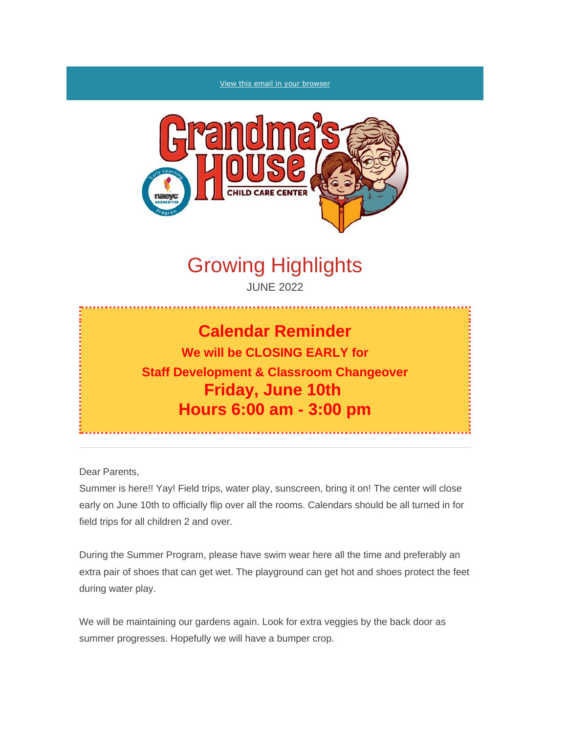#### [View this email in your browser](https://mailchi.mp/1b0ccab30900/grandmas-house-parent-newsletter?e=%5bUNIQID%5d)



# Growing Highlights

JUNE 2022

# **Calendar Reminder**

**We will be CLOSING EARLY for Staff Development & Classroom Changeover Friday, June 10th Hours 6:00 am - 3:00 pm**

Dear Parents,

Summer is here!! Yay! Field trips, water play, sunscreen, bring it on! The center will close early on June 10th to officially flip over all the rooms. Calendars should be all turned in for field trips for all children 2 and over.

During the Summer Program, please have swim wear here all the time and preferably an extra pair of shoes that can get wet. The playground can get hot and shoes protect the feet during water play.

We will be maintaining our gardens again. Look for extra veggies by the back door as summer progresses. Hopefully we will have a bumper crop.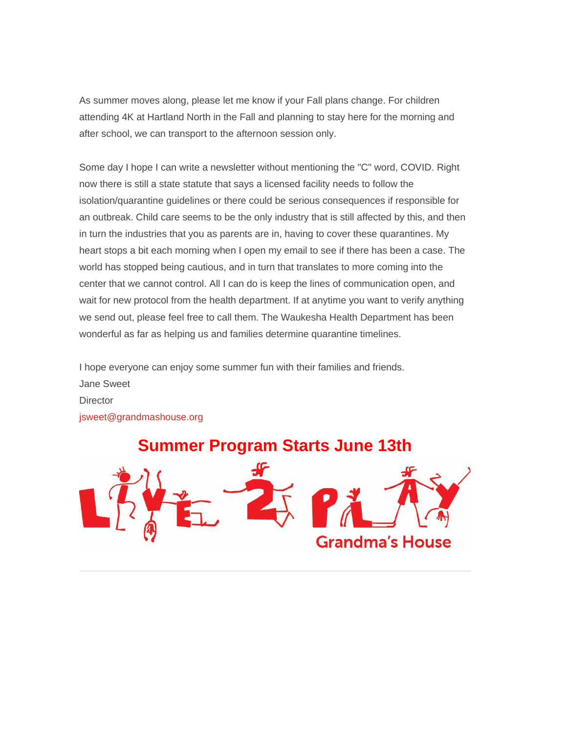As summer moves along, please let me know if your Fall plans change. For children attending 4K at Hartland North in the Fall and planning to stay here for the morning and after school, we can transport to the afternoon session only.

Some day I hope I can write a newsletter without mentioning the "C" word, COVID. Right now there is still a state statute that says a licensed facility needs to follow the isolation/quarantine guidelines or there could be serious consequences if responsible for an outbreak. Child care seems to be the only industry that is still affected by this, and then in turn the industries that you as parents are in, having to cover these quarantines. My heart stops a bit each morning when I open my email to see if there has been a case. The world has stopped being cautious, and in turn that translates to more coming into the center that we cannot control. All I can do is keep the lines of communication open, and wait for new protocol from the health department. If at anytime you want to verify anything we send out, please feel free to call them. The Waukesha Health Department has been wonderful as far as helping us and families determine quarantine timelines.

I hope everyone can enjoy some summer fun with their families and friends. Jane Sweet **Director** [jsweet@grandmashouse.org](mailto:jsweet@grandmashouse.org)

*Summer Program Starts June 13th*

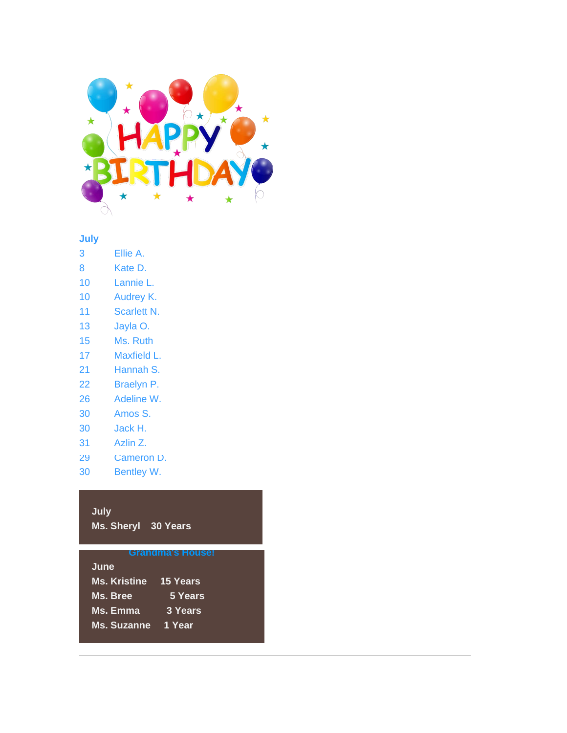

## **June July**

- 3 Ellie A.
- 8 Kate D.
- 10 Lannie L.
- 10 Audrey K.
- 11 Scarlett N.
- 13 Jayla O.
- 15 Ms. Ruth
- 17 Maxfield L.
- 21 Hannah S.
- 22 Braelyn P.
- 26 Adeline W.
- 30 Amos S.
- 30 Jack H.
- 31 Azlin Z.
- 29 Cameron D.
- 30 Bentley W.

# **July**

*CONGRATULATIONS! Ms. Sheryl 30 Years*

## *Grandma's House!*

| June                |          |
|---------------------|----------|
| <b>Ms. Kristine</b> | 15 Years |
| Ms. Bree            | 5 Years  |
| Ms. Emma            | 3 Years  |
| <b>Ms. Suzanne</b>  | 1 Year   |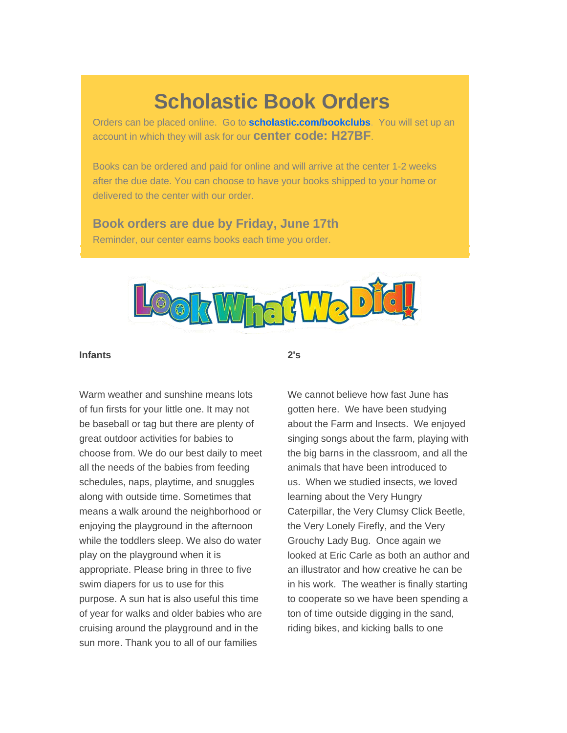# **Scholastic Book Orders**

Orders can be placed online. Go to **[scholastic.com/bookclubs](https://clubs.scholastic.com/home)**. You will set up an account in which they will ask for our **center code: H27BF**.

Books can be ordered and paid for online and will arrive at the center 1-2 weeks after the due date. You can choose to have your books shipped to your home or delivered to the center with our order.

# *Book orders are due by Friday, June 17th*

Reminder, our center earns books each time you order.



*2's*

## *Infants*

Warm weather and sunshine means lots of fun firsts for your little one. It may not be baseball or tag but there are plenty of great outdoor activities for babies to choose from. We do our best daily to meet all the needs of the babies from feeding schedules, naps, playtime, and snuggles along with outside time. Sometimes that means a walk around the neighborhood or enjoying the playground in the afternoon while the toddlers sleep. We also do water play on the playground when it is appropriate. Please bring in three to five swim diapers for us to use for this purpose. A sun hat is also useful this time of year for walks and older babies who are cruising around the playground and in the sun more. Thank you to all of our families

We cannot believe how fast June has gotten here. We have been studying about the Farm and Insects. We enjoyed singing songs about the farm, playing with the big barns in the classroom, and all the animals that have been introduced to us. When we studied insects, we loved learning about the Very Hungry Caterpillar, the Very Clumsy Click Beetle, the Very Lonely Firefly, and the Very Grouchy Lady Bug. Once again we looked at Eric Carle as both an author and an illustrator and how creative he can be in his work. The weather is finally starting to cooperate so we have been spending a ton of time outside digging in the sand, riding bikes, and kicking balls to one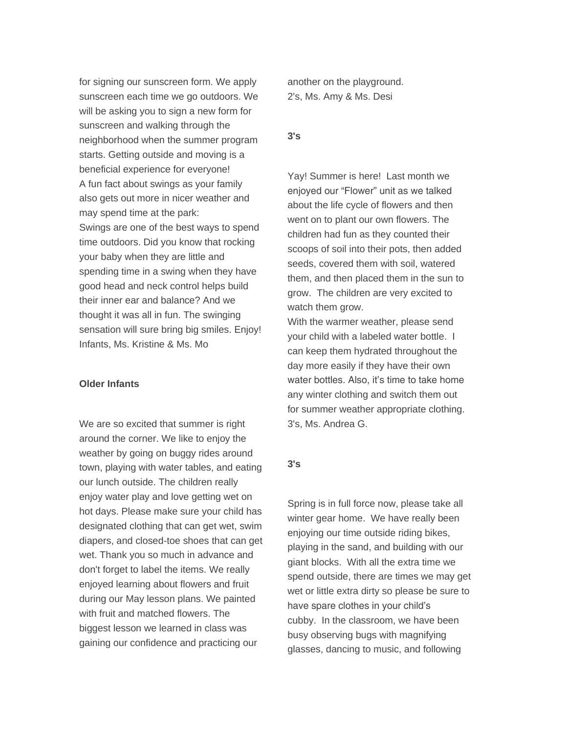for signing our sunscreen form. We apply sunscreen each time we go outdoors. We will be asking you to sign a new form for sunscreen and walking through the neighborhood when the summer program starts. Getting outside and moving is a beneficial experience for everyone! A fun fact about swings as your family also gets out more in nicer weather and may spend time at the park: Swings are one of the best ways to spend time outdoors. Did you know that rocking your baby when they are little and spending time in a swing when they have good head and neck control helps build their inner ear and balance? And we thought it was all in fun. The swinging sensation will sure bring big smiles. Enjoy! *Infants, Ms. Kristine & Ms. Mo*

### *Older Infants*

We are so excited that summer is right around the corner. We like to enjoy the weather by going on buggy rides around town, playing with water tables, and eating our lunch outside. The children really enjoy water play and love getting wet on hot days. Please make sure your child has designated clothing that can get wet, swim diapers, and closed-toe shoes that can get wet. Thank you so much in advance and don't forget to label the items. We really enjoyed learning about flowers and fruit during our May lesson plans. We painted with fruit and matched flowers. The biggest lesson we learned in class was gaining our confidence and practicing our

another on the playground. *2's, Ms. Amy & Ms. Desi*

### *3's*

Yay! Summer is here! Last month we enjoyed our "Flower" unit as we talked about the life cycle of flowers and then went on to plant our own flowers. The children had fun as they counted their scoops of soil into their pots, then added seeds, covered them with soil, watered them, and then placed them in the sun to grow. The children are very excited to watch them grow.

With the warmer weather, please send your child with a labeled water bottle. I can keep them hydrated throughout the day more easily if they have their own water bottles. Also, it's time to take home any winter clothing and switch them out for summer weather appropriate clothing. *3's, Ms. Andrea G.*

# *3's*

Spring is in full force now, please take all winter gear home. We have really been enjoying our time outside riding bikes, playing in the sand, and building with our giant blocks. With all the extra time we spend outside, there are times we may get wet or little extra dirty so please be sure to have spare clothes in your child's cubby. In the classroom, we have been busy observing bugs with magnifying glasses, dancing to music, and following